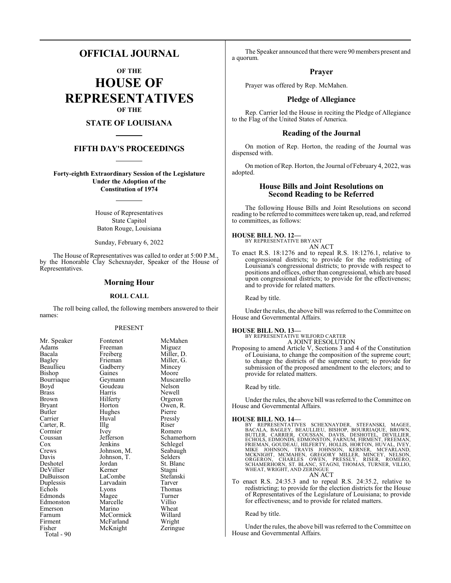# **OFFICIAL JOURNAL**

**OF THE HOUSE OF REPRESENTATIVES OF THE**

# **STATE OF LOUISIANA**

# **FIFTH DAY'S PROCEEDINGS**

**Forty-eighth Extraordinary Session of the Legislature Under the Adoption of the Constitution of 1974**

> House of Representatives State Capitol Baton Rouge, Louisiana

Sunday, February 6, 2022

The House of Representatives was called to order at 5:00 P.M., by the Honorable Clay Schexnayder, Speaker of the House of Representatives.

# **Morning Hour**

### **ROLL CALL**

The roll being called, the following members answered to their names:

#### PRESENT

| Mr. Speaker | Fontenot    | McMahen    |
|-------------|-------------|------------|
| Adams       | Freeman     | Miguez     |
| Bacala      | Freiberg    | Miller, D. |
| Bagley      | Frieman     | Miller, G. |
| Beaullieu   | Gadberry    | Mincey     |
| Bishop      | Gaines      | Moore      |
| Bourriaque  | Geymann     | Muscarell  |
| Boyd        | Goudeau     | Nelson     |
| Brass       | Harris      | Newell     |
| Brown       | Hilferty    | Orgeron    |
| Bryant      | Horton      | Owen, R.   |
| Butler      | Hughes      | Pierre     |
| Carrier     | Huval       | Pressly    |
| Carter, R.  | Illg        | Riser      |
| Cormier     | Ivey        | Romero     |
| Coussan     | Jefferson   | Schamerh   |
| Cox         | Jenkins     | Schlegel   |
| Crews       | Johnson, M. | Seabaugh   |
| Davis       | Johnson, T. | Selders    |
| Deshotel    | Jordan      | St. Blanc  |
| DeVillier   | Kerner      | Stagni     |
| DuBuisson   | LaCombe     | Stefanski  |
| Duplessis   | Larvadain   | Tarver     |
| Echols      | Lyons       | Thomas     |
| Edmonds     | Magee       | Turner     |
| Edmonston   | Marcelle    | Villio     |
| Emerson     | Marino      | Wheat      |
| Farnum      | McCormick   | Willard    |
| Firment     | McFarland   | Wright     |
| Fisher      | McKnight    | Zeringue   |
| Total - 90  |             |            |

Miguez Miller, D. Miller, G. Mincey Moore Muscarello Nelson Newell Orgeron Owen, R. Pierre Pressly<br>Riser Romero Schamerhorn Schlegel Seabaugh Selders<sup>7</sup> St. Blanc Stagni Stefanski Thomas Turner Villio Wheat Willard Wright Zeringue

The Speaker announced that there were 90 members present and a quorum.

# **Prayer**

Prayer was offered by Rep. McMahen.

# **Pledge of Allegiance**

Rep. Carrier led the House in reciting the Pledge of Allegiance to the Flag of the United States of America.

# **Reading of the Journal**

On motion of Rep. Horton, the reading of the Journal was dispensed with.

On motion of Rep. Horton, the Journal of February 4, 2022, was adopted.

# **House Bills and Joint Resolutions on Second Reading to be Referred**

The following House Bills and Joint Resolutions on second reading to be referred to committees were taken up, read, and referred to committees, as follows:

**HOUSE BILL NO. 12—** BY REPRESENTATIVE BRYANT



To enact R.S. 18:1276 and to repeal R.S. 18:1276.1, relative to congressional districts; to provide for the redistricting of Louisiana's congressional districts; to provide with respect to positions and offices, other than congressional, which are based upon congressional districts; to provide for the effectiveness; and to provide for related matters.

Read by title.

Under the rules, the above bill was referred to the Committee on House and Governmental Affairs.

#### **HOUSE BILL NO. 13—**

BY REPRESENTATIVE WILFORD CARTER A JOINT RESOLUTION

Proposing to amend Article V, Sections 3 and 4 of the Constitution of Louisiana, to change the composition of the supreme court; to change the districts of the supreme court; to provide for submission of the proposed amendment to the electors; and to provide for related matters.

Read by title.

Under the rules, the above bill was referred to the Committee on House and Governmental Affairs.

#### **HOUSE BILL NO. 14—**

BY REPRESENTATIVES SCHEXNAYDER, STEFANSKI, MAGEE,<br>BACALA, BAGLEY, BEAULLIEU, BISHOP, BOURRIAQUE, BROWN,<br>BUTLER, CARRIER, COUSSAN, DAVIS, DESHOTEL, DEVILLIER,<br>ECHOLS, EDMONDS, EDMONSTON, FARNUM, FIRMENT, FREEMAN,<br>FRIEMAN, G AN ACT

To enact R.S. 24:35.3 and to repeal R.S. 24:35.2, relative to redistricting; to provide for the election districts for the House of Representatives of the Legislature of Louisiana; to provide for effectiveness; and to provide for related matters.

#### Read by title.

Under the rules, the above bill was referred to the Committee on House and Governmental Affairs.